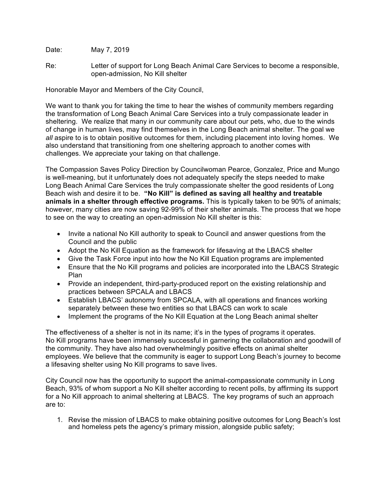Date: May 7, 2019

Re: Letter of support for Long Beach Animal Care Services to become a responsible, open-admission, No Kill shelter

Honorable Mayor and Members of the City Council,

We want to thank you for taking the time to hear the wishes of community members regarding the transformation of Long Beach Animal Care Services into a truly compassionate leader in sheltering. We realize that many in our community care about our pets, who, due to the winds of change in human lives, may find themselves in the Long Beach animal shelter. The goal we *all* aspire to is to obtain positive outcomes for them, including placement into loving homes. We also understand that transitioning from one sheltering approach to another comes with challenges. We appreciate your taking on that challenge.

The Compassion Saves Policy Direction by Councilwoman Pearce, Gonzalez, Price and Mungo is well-meaning, but it unfortunately does not adequately specify the steps needed to make Long Beach Animal Care Services the truly compassionate shelter the good residents of Long Beach wish and desire it to be. **"No Kill" is defined as saving all healthy and treatable animals in a shelter through effective programs.** This is typically taken to be 90% of animals; however, many cities are now saving 92-99% of their shelter animals. The process that we hope to see on the way to creating an open-admission No Kill shelter is this:

- Invite a national No Kill authority to speak to Council and answer questions from the Council and the public
- Adopt the No Kill Equation as the framework for lifesaving at the LBACS shelter
- Give the Task Force input into how the No Kill Equation programs are implemented
- Ensure that the No Kill programs and policies are incorporated into the LBACS Strategic Plan
- Provide an independent, third-party-produced report on the existing relationship and practices between SPCALA and LBACS
- Establish LBACS' autonomy from SPCALA, with all operations and finances working separately between these two entities so that LBACS can work to scale
- Implement the programs of the No Kill Equation at the Long Beach animal shelter

The effectiveness of a shelter is not in its name; it's in the types of programs it operates. No Kill programs have been immensely successful in garnering the collaboration and goodwill of the community. They have also had overwhelmingly positive effects on animal shelter employees. We believe that the community is eager to support Long Beach's journey to become a lifesaving shelter using No Kill programs to save lives.

City Council now has the opportunity to support the animal-compassionate community in Long Beach, 93% of whom support a No Kill shelter according to recent polls, by affirming its support for a No Kill approach to animal sheltering at LBACS. The key programs of such an approach are to:

1. Revise the mission of LBACS to make obtaining positive outcomes for Long Beach's lost and homeless pets the agency's primary mission, alongside public safety;